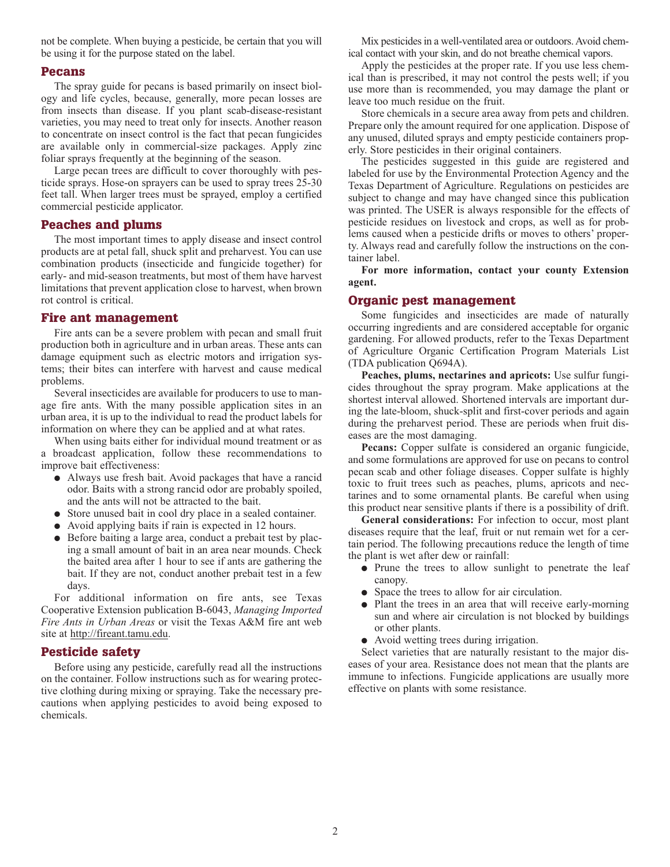not be complete. When buying a pesticide, be certain that you will be using it for the purpose stated on the label.

### **Pecans**

The spray guide for pecans is based primarily on insect biology and life cycles, because, generally, more pecan losses are from insects than disease. If you plant scab-disease-resistant varieties, you may need to treat only for insects. Another reason to concentrate on insect control is the fact that pecan fungicides are available only in commercial-size packages. Apply zinc foliar sprays frequently at the beginning of the season.

Large pecan trees are difficult to cover thoroughly with pesticide sprays. Hose-on sprayers can be used to spray trees 25-30 feet tall. When larger trees must be sprayed, employ a certified commercial pesticide applicator.

### **Peaches and plums**

The most important times to apply disease and insect control products are at petal fall, shuck split and preharvest. You can use combination products (insecticide and fungicide together) for early- and mid-season treatments, but most of them have harvest limitations that prevent application close to harvest, when brown rot control is critical.

### **Fire ant management**

Fire ants can be a severe problem with pecan and small fruit production both in agriculture and in urban areas. These ants can damage equipment such as electric motors and irrigation systems; their bites can interfere with harvest and cause medical problems.

Several insecticides are available for producers to use to manage fire ants. With the many possible application sites in an urban area, it is up to the individual to read the product labels for information on where they can be applied and at what rates.

When using baits either for individual mound treatment or as a broadcast application, follow these recommendations to improve bait effectiveness:

- **●** Always use fresh bait. Avoid packages that have a rancid odor. Baits with a strong rancid odor are probably spoiled, and the ants will not be attracted to the bait.
- **●** Store unused bait in cool dry place in a sealed container.
- **●** Avoid applying baits if rain is expected in 12 hours.
- **●** Before baiting a large area, conduct a prebait test by placing a small amount of bait in an area near mounds. Check the baited area after 1 hour to see if ants are gathering the bait. If they are not, conduct another prebait test in a few days.

For additional information on fire ants, see Texas Cooperative Extension publication B-6043, *Managing Imported Fire Ants in Urban Areas* or visit the Texas A&M fire ant web site at http://fireant.tamu.edu.

## **Pesticide safety**

Before using any pesticide, carefully read all the instructions on the container. Follow instructions such as for wearing protective clothing during mixing or spraying. Take the necessary precautions when applying pesticides to avoid being exposed to chemicals.

Mix pesticides in a well-ventilated area or outdoors. Avoid chemical contact with your skin, and do not breathe chemical vapors.

Apply the pesticides at the proper rate. If you use less chemical than is prescribed, it may not control the pests well; if you use more than is recommended, you may damage the plant or leave too much residue on the fruit.

Store chemicals in a secure area away from pets and children. Prepare only the amount required for one application. Dispose of any unused, diluted sprays and empty pesticide containers properly. Store pesticides in their original containers.

The pesticides suggested in this guide are registered and labeled for use by the Environmental Protection Agency and the Texas Department of Agriculture. Regulations on pesticides are subject to change and may have changed since this publication was printed. The USER is always responsible for the effects of pesticide residues on livestock and crops, as well as for problems caused when a pesticide drifts or moves to others' property. Always read and carefully follow the instructions on the container label.

**For more information, contact your county Extension agent.**

# **Organic pest management**

Some fungicides and insecticides are made of naturally occurring ingredients and are considered acceptable for organic gardening. For allowed products, refer to the Texas Department of Agriculture Organic Certification Program Materials List (TDA publication Q694A).

**Peaches, plums, nectarines and apricots:** Use sulfur fungicides throughout the spray program. Make applications at the shortest interval allowed. Shortened intervals are important during the late-bloom, shuck-split and first-cover periods and again during the preharvest period. These are periods when fruit diseases are the most damaging.

**Pecans:** Copper sulfate is considered an organic fungicide, and some formulations are approved for use on pecans to control pecan scab and other foliage diseases. Copper sulfate is highly toxic to fruit trees such as peaches, plums, apricots and nectarines and to some ornamental plants. Be careful when using this product near sensitive plants if there is a possibility of drift.

**General considerations:** For infection to occur, most plant diseases require that the leaf, fruit or nut remain wet for a certain period. The following precautions reduce the length of time the plant is wet after dew or rainfall:

- **●** Prune the trees to allow sunlight to penetrate the leaf canopy.
- **●** Space the trees to allow for air circulation.
- **●** Plant the trees in an area that will receive early-morning sun and where air circulation is not blocked by buildings or other plants.
- **●** Avoid wetting trees during irrigation.

Select varieties that are naturally resistant to the major diseases of your area. Resistance does not mean that the plants are immune to infections. Fungicide applications are usually more effective on plants with some resistance.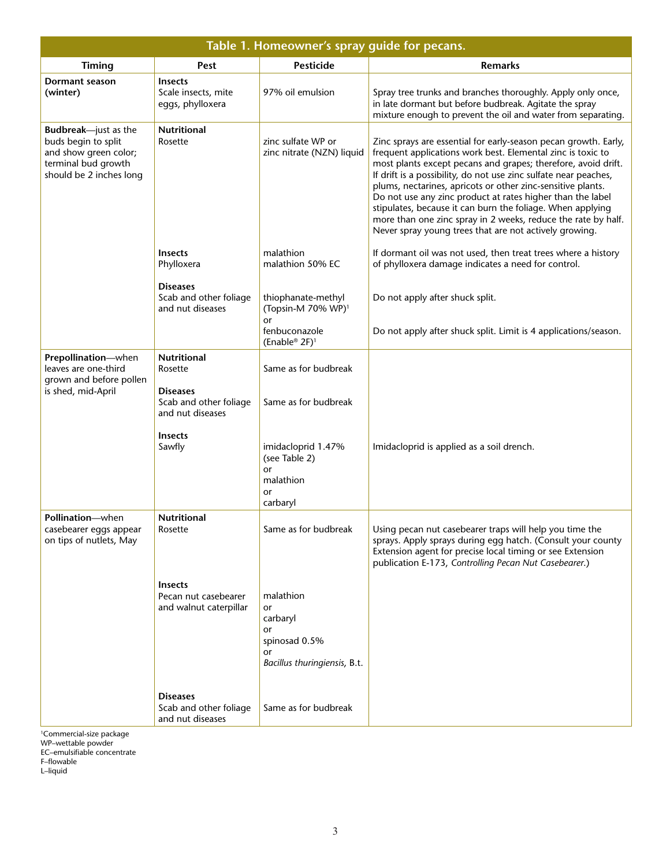| Table 1. Homeowner's spray quide for pecans.                                                                                   |                                                                                                |                                                                                          |                                                                                                                                                                                                                                                                                                                                                                                                                                                                                                                                                                                           |  |
|--------------------------------------------------------------------------------------------------------------------------------|------------------------------------------------------------------------------------------------|------------------------------------------------------------------------------------------|-------------------------------------------------------------------------------------------------------------------------------------------------------------------------------------------------------------------------------------------------------------------------------------------------------------------------------------------------------------------------------------------------------------------------------------------------------------------------------------------------------------------------------------------------------------------------------------------|--|
| Timing                                                                                                                         | Pest                                                                                           | <b>Pesticide</b>                                                                         | <b>Remarks</b>                                                                                                                                                                                                                                                                                                                                                                                                                                                                                                                                                                            |  |
| Dormant season<br>(winter)                                                                                                     | <b>Insects</b><br>Scale insects, mite<br>eggs, phylloxera                                      | 97% oil emulsion                                                                         | Spray tree trunks and branches thoroughly. Apply only once,<br>in late dormant but before budbreak. Agitate the spray<br>mixture enough to prevent the oil and water from separating.                                                                                                                                                                                                                                                                                                                                                                                                     |  |
| <b>Budbreak</b> —just as the<br>buds begin to split<br>and show green color;<br>terminal bud growth<br>should be 2 inches long | <b>Nutritional</b><br>Rosette                                                                  | zinc sulfate WP or<br>zinc nitrate (NZN) liquid                                          | Zinc sprays are essential for early-season pecan growth. Early,<br>frequent applications work best. Elemental zinc is toxic to<br>most plants except pecans and grapes; therefore, avoid drift.<br>If drift is a possibility, do not use zinc sulfate near peaches,<br>plums, nectarines, apricots or other zinc-sensitive plants.<br>Do not use any zinc product at rates higher than the label<br>stipulates, because it can burn the foliage. When applying<br>more than one zinc spray in 2 weeks, reduce the rate by half.<br>Never spray young trees that are not actively growing. |  |
|                                                                                                                                | <b>Insects</b><br>Phylloxera                                                                   | malathion<br>malathion 50% EC                                                            | If dormant oil was not used, then treat trees where a history<br>of phylloxera damage indicates a need for control.                                                                                                                                                                                                                                                                                                                                                                                                                                                                       |  |
|                                                                                                                                | <b>Diseases</b><br>Scab and other foliage<br>and nut diseases                                  | thiophanate-methyl<br>(Topsin-M 70% WP) <sup>1</sup><br>or                               | Do not apply after shuck split.                                                                                                                                                                                                                                                                                                                                                                                                                                                                                                                                                           |  |
|                                                                                                                                |                                                                                                | fenbuconazole<br>(Enable <sup>®</sup> 2F) <sup>1</sup>                                   | Do not apply after shuck split. Limit is 4 applications/season.                                                                                                                                                                                                                                                                                                                                                                                                                                                                                                                           |  |
| Prepollination-when<br>leaves are one-third<br>grown and before pollen<br>is shed, mid-April                                   | <b>Nutritional</b><br>Rosette<br><b>Diseases</b><br>Scab and other foliage<br>and nut diseases | Same as for budbreak<br>Same as for budbreak                                             |                                                                                                                                                                                                                                                                                                                                                                                                                                                                                                                                                                                           |  |
|                                                                                                                                | <b>Insects</b><br>Sawfly                                                                       | imidacloprid 1.47%<br>(see Table 2)<br>or<br>malathion<br>or<br>carbaryl                 | Imidacloprid is applied as a soil drench.                                                                                                                                                                                                                                                                                                                                                                                                                                                                                                                                                 |  |
| <b>Pollination</b> —when<br>casebearer eggs appear<br>on tips of nutlets, May                                                  | Nutritional<br>Rosette                                                                         | Same as for budbreak                                                                     | Using pecan nut casebearer traps will help you time the<br>sprays. Apply sprays during egg hatch. (Consult your county<br>Extension agent for precise local timing or see Extension<br>publication E-173, Controlling Pecan Nut Casebearer.)                                                                                                                                                                                                                                                                                                                                              |  |
|                                                                                                                                | <b>Insects</b><br>Pecan nut casebearer<br>and walnut caterpillar                               | malathion<br>or<br>carbaryl<br>or<br>spinosad 0.5%<br>or<br>Bacillus thuringiensis, B.t. |                                                                                                                                                                                                                                                                                                                                                                                                                                                                                                                                                                                           |  |
|                                                                                                                                | <b>Diseases</b><br>Scab and other foliage<br>and nut diseases                                  | Same as for budbreak                                                                     |                                                                                                                                                                                                                                                                                                                                                                                                                                                                                                                                                                                           |  |

1Commercial-size package

WP–wettable powder

EC–emulsifiable concentrate

F–flowable

L–liquid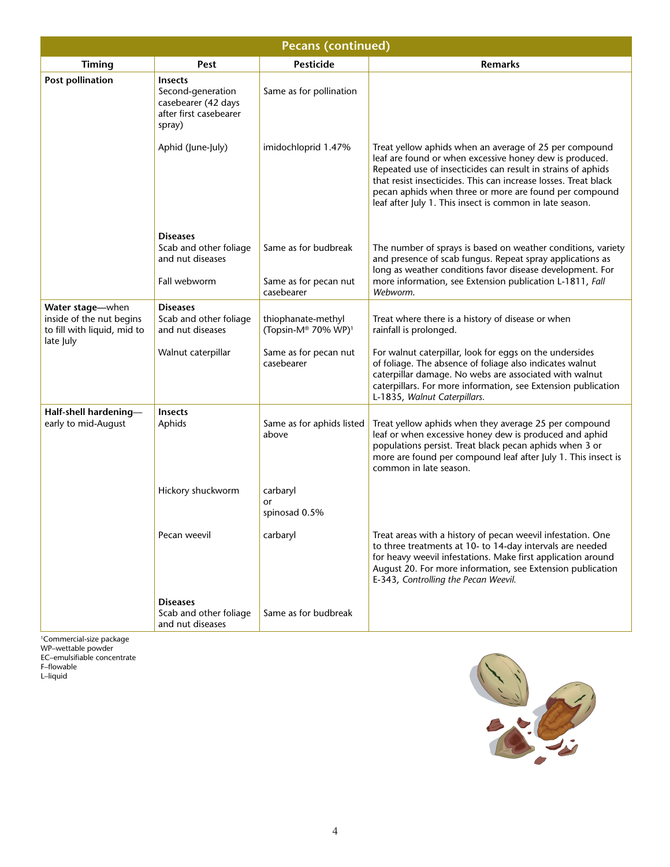| <b>Pecans (continued)</b>                                                                |                                                                                                |                                                             |                                                                                                                                                                                                                                                                                                                                                                            |  |
|------------------------------------------------------------------------------------------|------------------------------------------------------------------------------------------------|-------------------------------------------------------------|----------------------------------------------------------------------------------------------------------------------------------------------------------------------------------------------------------------------------------------------------------------------------------------------------------------------------------------------------------------------------|--|
| <b>Timing</b>                                                                            | <b>Pest</b>                                                                                    | <b>Pesticide</b>                                            | <b>Remarks</b>                                                                                                                                                                                                                                                                                                                                                             |  |
| <b>Post pollination</b>                                                                  | <b>Insects</b><br>Second-generation<br>casebearer (42 days<br>after first casebearer<br>spray) | Same as for pollination                                     |                                                                                                                                                                                                                                                                                                                                                                            |  |
|                                                                                          | Aphid (June-July)                                                                              | imidochloprid 1.47%                                         | Treat yellow aphids when an average of 25 per compound<br>leaf are found or when excessive honey dew is produced.<br>Repeated use of insecticides can result in strains of aphids<br>that resist insecticides. This can increase losses. Treat black<br>pecan aphids when three or more are found per compound<br>leaf after July 1. This insect is common in late season. |  |
|                                                                                          | <b>Diseases</b><br>Scab and other foliage<br>and nut diseases<br>Fall webworm                  | Same as for budbreak<br>Same as for pecan nut<br>casebearer | The number of sprays is based on weather conditions, variety<br>and presence of scab fungus. Repeat spray applications as<br>long as weather conditions favor disease development. For<br>more information, see Extension publication L-1811, Fall<br>Webworm.                                                                                                             |  |
| Water stage-when<br>inside of the nut begins<br>to fill with liquid, mid to<br>late July | <b>Diseases</b><br>Scab and other foliage<br>and nut diseases                                  | thiophanate-methyl<br>(Topsin-M® 70% WP) <sup>1</sup>       | Treat where there is a history of disease or when<br>rainfall is prolonged.                                                                                                                                                                                                                                                                                                |  |
|                                                                                          | Walnut caterpillar                                                                             | Same as for pecan nut<br>casebearer                         | For walnut caterpillar, look for eggs on the undersides<br>of foliage. The absence of foliage also indicates walnut<br>caterpillar damage. No webs are associated with walnut<br>caterpillars. For more information, see Extension publication<br>L-1835, Walnut Caterpillars.                                                                                             |  |
| Half-shell hardening-<br>early to mid-August                                             | <b>Insects</b><br>Aphids                                                                       | Same as for aphids listed<br>above                          | Treat yellow aphids when they average 25 per compound<br>leaf or when excessive honey dew is produced and aphid<br>populations persist. Treat black pecan aphids when 3 or<br>more are found per compound leaf after July 1. This insect is<br>common in late season.                                                                                                      |  |
|                                                                                          | Hickory shuckworm                                                                              | carbaryl<br>or<br>spinosad 0.5%                             |                                                                                                                                                                                                                                                                                                                                                                            |  |
|                                                                                          | Pecan weevil                                                                                   | carbaryl                                                    | Treat areas with a history of pecan weevil infestation. One<br>to three treatments at 10- to 14-day intervals are needed<br>for heavy weevil infestations. Make first application around<br>August 20. For more information, see Extension publication<br>E-343, Controlling the Pecan Weevil.                                                                             |  |
|                                                                                          | <b>Diseases</b><br>Scab and other foliage<br>and nut diseases                                  | Same as for budbreak                                        |                                                                                                                                                                                                                                                                                                                                                                            |  |

1Commercial-size package WP–wettable powder EC–emulsifiable concentrate

F–flowable L–liquid

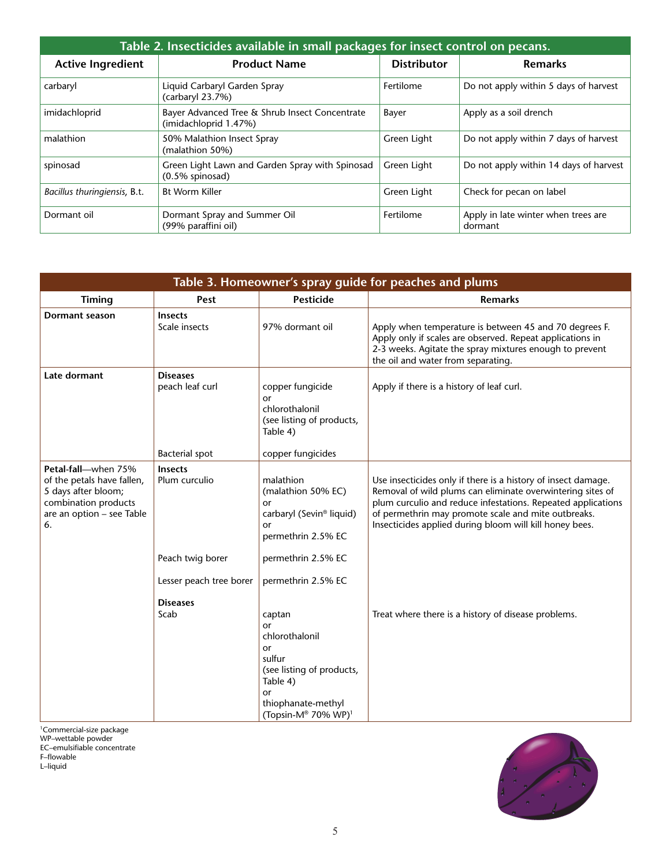| Table 2. Insecticides available in small packages for insect control on pecans. |                                                                         |                    |                                                |  |
|---------------------------------------------------------------------------------|-------------------------------------------------------------------------|--------------------|------------------------------------------------|--|
| <b>Active Ingredient</b>                                                        | <b>Product Name</b>                                                     | <b>Distributor</b> | <b>Remarks</b>                                 |  |
| carbaryl                                                                        | Liquid Carbaryl Garden Spray<br>(carbaryl 23.7%)                        | Fertilome          | Do not apply within 5 days of harvest          |  |
| imidachloprid                                                                   | Bayer Advanced Tree & Shrub Insect Concentrate<br>(imidachloprid 1.47%) | Bayer              | Apply as a soil drench                         |  |
| malathion                                                                       | 50% Malathion Insect Spray<br>(malathion 50%)                           | Green Light        | Do not apply within 7 days of harvest          |  |
| spinosad                                                                        | Green Light Lawn and Garden Spray with Spinosad<br>$(0.5\%$ spinosad)   | Green Light        | Do not apply within 14 days of harvest         |  |
| Bacillus thuringiensis, B.t.                                                    | <b>Bt Worm Killer</b>                                                   | Green Light        | Check for pecan on label                       |  |
| Dormant oil                                                                     | Dormant Spray and Summer Oil<br>(99% paraffini oil)                     | Fertilome          | Apply in late winter when trees are<br>dormant |  |

| Table 3. Homeowner's spray guide for peaches and plums                                                                              |                                    |                                                                                                                                                        |                                                                                                                                                                                                                                                                                                               |  |
|-------------------------------------------------------------------------------------------------------------------------------------|------------------------------------|--------------------------------------------------------------------------------------------------------------------------------------------------------|---------------------------------------------------------------------------------------------------------------------------------------------------------------------------------------------------------------------------------------------------------------------------------------------------------------|--|
| <b>Timing</b>                                                                                                                       | Pest                               | <b>Pesticide</b>                                                                                                                                       | <b>Remarks</b>                                                                                                                                                                                                                                                                                                |  |
| Dormant season                                                                                                                      | <b>Insects</b><br>Scale insects    | 97% dormant oil                                                                                                                                        | Apply when temperature is between 45 and 70 degrees F.<br>Apply only if scales are observed. Repeat applications in<br>2-3 weeks. Agitate the spray mixtures enough to prevent<br>the oil and water from separating.                                                                                          |  |
| Late dormant                                                                                                                        | <b>Diseases</b><br>peach leaf curl | copper fungicide<br>or<br>chlorothalonil<br>(see listing of products,<br>Table 4)                                                                      | Apply if there is a history of leaf curl.                                                                                                                                                                                                                                                                     |  |
|                                                                                                                                     | <b>Bacterial spot</b>              | copper fungicides                                                                                                                                      |                                                                                                                                                                                                                                                                                                               |  |
| Petal-fall-when 75%<br>of the petals have fallen,<br>5 days after bloom;<br>combination products<br>are an option - see Table<br>6. | <b>Insects</b><br>Plum curculio    | malathion<br>(malathion 50% EC)<br>or<br>carbaryl (Sevin <sup>®</sup> liquid)<br>or<br>permethrin 2.5% EC                                              | Use insecticides only if there is a history of insect damage.<br>Removal of wild plums can eliminate overwintering sites of<br>plum curculio and reduce infestations. Repeated applications<br>of permethrin may promote scale and mite outbreaks.<br>Insecticides applied during bloom will kill honey bees. |  |
|                                                                                                                                     | Peach twig borer                   | permethrin 2.5% EC                                                                                                                                     |                                                                                                                                                                                                                                                                                                               |  |
|                                                                                                                                     | Lesser peach tree borer            | permethrin 2.5% EC                                                                                                                                     |                                                                                                                                                                                                                                                                                                               |  |
|                                                                                                                                     | <b>Diseases</b><br>Scab            | captan<br>or<br>chlorothalonil<br>or<br>sulfur<br>(see listing of products,<br>Table 4)<br>or<br>thiophanate-methyl<br>(Topsin-M® 70% WP) <sup>1</sup> | Treat where there is a history of disease problems.                                                                                                                                                                                                                                                           |  |

1Commercial-size package

WP–wettable powder

EC–emulsifiable concentrate

F–flowable L–liquid

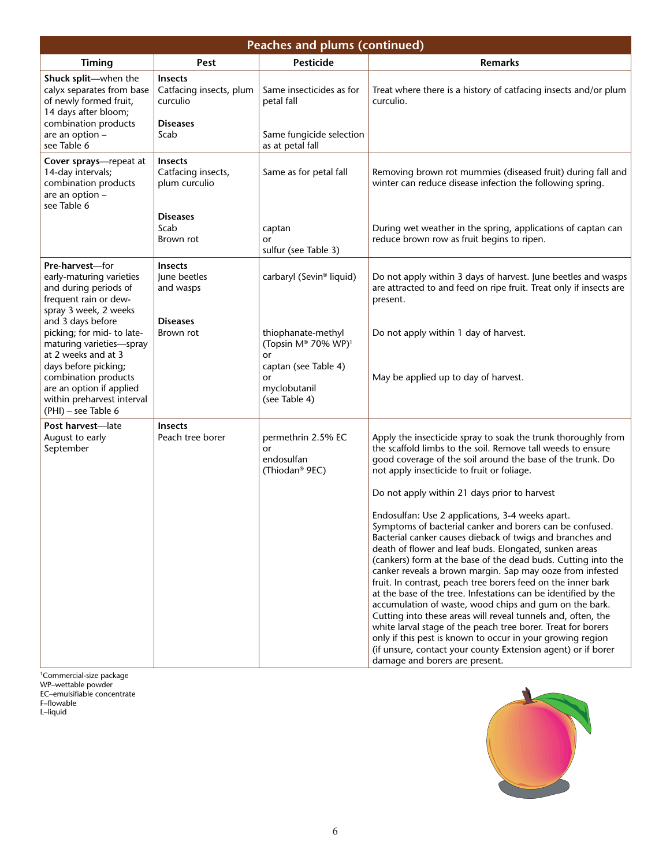| <b>Peaches and plums (continued)</b>                                                                                                                                                                                                |                                                                                  |                                                                                                                            |                                                                                                                                                                                                                                                                                                                                                                                                                                                                                                                                                                                                                                                                                                                                                                                                                                                               |  |
|-------------------------------------------------------------------------------------------------------------------------------------------------------------------------------------------------------------------------------------|----------------------------------------------------------------------------------|----------------------------------------------------------------------------------------------------------------------------|---------------------------------------------------------------------------------------------------------------------------------------------------------------------------------------------------------------------------------------------------------------------------------------------------------------------------------------------------------------------------------------------------------------------------------------------------------------------------------------------------------------------------------------------------------------------------------------------------------------------------------------------------------------------------------------------------------------------------------------------------------------------------------------------------------------------------------------------------------------|--|
| Timing                                                                                                                                                                                                                              | Pest                                                                             | <b>Pesticide</b>                                                                                                           | <b>Remarks</b>                                                                                                                                                                                                                                                                                                                                                                                                                                                                                                                                                                                                                                                                                                                                                                                                                                                |  |
| Shuck split-when the<br>calyx separates from base<br>of newly formed fruit,<br>14 days after bloom;<br>combination products<br>are an option -                                                                                      | <b>Insects</b><br>Catfacing insects, plum<br>curculio<br><b>Diseases</b><br>Scab | Same insecticides as for<br>petal fall<br>Same fungicide selection                                                         | Treat where there is a history of catfacing insects and/or plum<br>curculio.                                                                                                                                                                                                                                                                                                                                                                                                                                                                                                                                                                                                                                                                                                                                                                                  |  |
| see Table 6                                                                                                                                                                                                                         |                                                                                  | as at petal fall                                                                                                           |                                                                                                                                                                                                                                                                                                                                                                                                                                                                                                                                                                                                                                                                                                                                                                                                                                                               |  |
| Cover sprays-repeat at<br>14-day intervals;<br>combination products<br>are an option -<br>see Table 6                                                                                                                               | <b>Insects</b><br>Catfacing insects,<br>plum curculio                            | Same as for petal fall                                                                                                     | Removing brown rot mummies (diseased fruit) during fall and<br>winter can reduce disease infection the following spring.                                                                                                                                                                                                                                                                                                                                                                                                                                                                                                                                                                                                                                                                                                                                      |  |
|                                                                                                                                                                                                                                     | <b>Diseases</b><br>Scab<br>Brown rot                                             | captan<br>or<br>sulfur (see Table 3)                                                                                       | During wet weather in the spring, applications of captan can<br>reduce brown row as fruit begins to ripen.                                                                                                                                                                                                                                                                                                                                                                                                                                                                                                                                                                                                                                                                                                                                                    |  |
| Pre-harvest-for<br>early-maturing varieties<br>and during periods of<br>frequent rain or dew-<br>spray 3 week, 2 weeks                                                                                                              | <b>Insects</b><br>June beetles<br>and wasps                                      | carbaryl (Sevin® liquid)                                                                                                   | Do not apply within 3 days of harvest. June beetles and wasps<br>are attracted to and feed on ripe fruit. Treat only if insects are<br>present.                                                                                                                                                                                                                                                                                                                                                                                                                                                                                                                                                                                                                                                                                                               |  |
| and 3 days before<br>picking; for mid- to late-<br>maturing varieties-spray<br>at 2 weeks and at 3<br>days before picking;<br>combination products<br>are an option if applied<br>within preharvest interval<br>(PHI) - see Table 6 | <b>Diseases</b><br>Brown rot                                                     | thiophanate-methyl<br>(Topsin M® 70% WP) <sup>1</sup><br>or<br>captan (see Table 4)<br>or<br>myclobutanil<br>(see Table 4) | Do not apply within 1 day of harvest.<br>May be applied up to day of harvest.                                                                                                                                                                                                                                                                                                                                                                                                                                                                                                                                                                                                                                                                                                                                                                                 |  |
| Post harvest-late<br>August to early<br>September                                                                                                                                                                                   | <b>Insects</b><br>Peach tree borer                                               | permethrin 2.5% EC<br>or<br>endosulfan<br>(Thiodan <sup>®</sup> 9EC)                                                       | Apply the insecticide spray to soak the trunk thoroughly from<br>the scaffold limbs to the soil. Remove tall weeds to ensure<br>good coverage of the soil around the base of the trunk. Do<br>not apply insecticide to fruit or foliage.<br>Do not apply within 21 days prior to harvest                                                                                                                                                                                                                                                                                                                                                                                                                                                                                                                                                                      |  |
|                                                                                                                                                                                                                                     |                                                                                  |                                                                                                                            | Endosulfan: Use 2 applications, 3-4 weeks apart.<br>Symptoms of bacterial canker and borers can be confused.<br>Bacterial canker causes dieback of twigs and branches and<br>death of flower and leaf buds. Elongated, sunken areas<br>(cankers) form at the base of the dead buds. Cutting into the<br>canker reveals a brown margin. Sap may ooze from infested<br>fruit. In contrast, peach tree borers feed on the inner bark<br>at the base of the tree. Infestations can be identified by the<br>accumulation of waste, wood chips and gum on the bark.<br>Cutting into these areas will reveal tunnels and, often, the<br>white larval stage of the peach tree borer. Treat for borers<br>only if this pest is known to occur in your growing region<br>(if unsure, contact your county Extension agent) or if borer<br>damage and borers are present. |  |

1Commercial-size package WP–wettable powder EC–emulsifiable concentrate F–flowable L–liquid

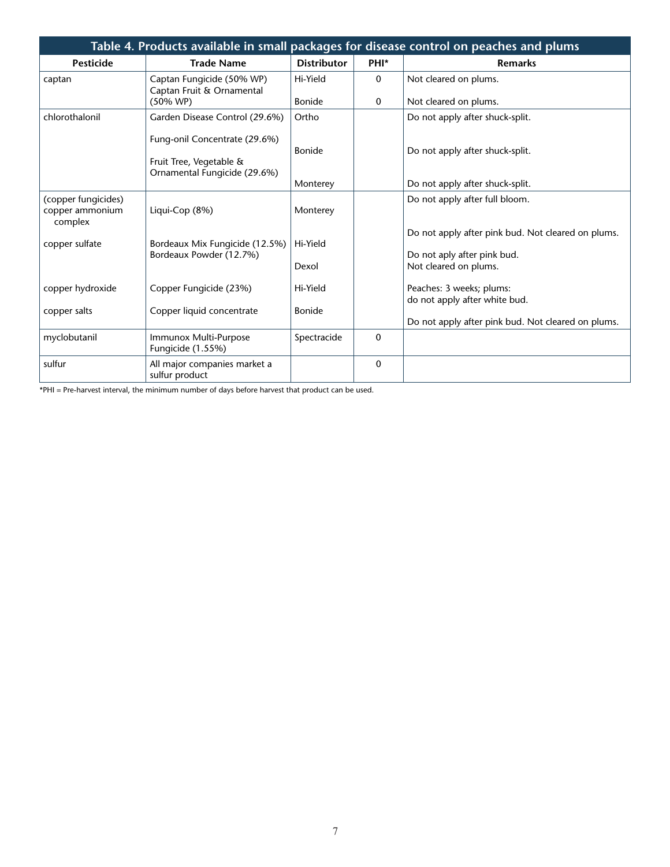|                                                   |                                                                                          |                    |              | Table 4. Products available in small packages for disease control on peaches and plums |
|---------------------------------------------------|------------------------------------------------------------------------------------------|--------------------|--------------|----------------------------------------------------------------------------------------|
| <b>Pesticide</b>                                  | <b>Trade Name</b>                                                                        | <b>Distributor</b> | PHI*         | <b>Remarks</b>                                                                         |
| captan                                            | Captan Fungicide (50% WP)<br>Captan Fruit & Ornamental                                   | Hi-Yield           | 0            | Not cleared on plums.                                                                  |
|                                                   | $(50\% \text{ WP})$                                                                      | <b>Bonide</b>      | $\mathbf 0$  | Not cleared on plums.                                                                  |
| chlorothalonil                                    | Garden Disease Control (29.6%)                                                           | Ortho              |              | Do not apply after shuck-split.                                                        |
|                                                   | Fung-onil Concentrate (29.6%)<br>Fruit Tree, Vegetable &<br>Ornamental Fungicide (29.6%) | <b>Bonide</b>      |              | Do not apply after shuck-split.                                                        |
|                                                   |                                                                                          | Monterey           |              | Do not apply after shuck-split.                                                        |
| (copper fungicides)<br>copper ammonium<br>complex | Liqui-Cop (8%)                                                                           | Monterey           |              | Do not apply after full bloom.                                                         |
| copper sulfate                                    | Bordeaux Mix Fungicide (12.5%)<br>Bordeaux Powder (12.7%)                                | Hi-Yield           |              | Do not apply after pink bud. Not cleared on plums.<br>Do not aply after pink bud.      |
|                                                   |                                                                                          | Dexol              |              | Not cleared on plums.                                                                  |
| copper hydroxide                                  | Copper Fungicide (23%)                                                                   | Hi-Yield           |              | Peaches: 3 weeks; plums:<br>do not apply after white bud.                              |
| copper salts                                      | Copper liquid concentrate                                                                | <b>Bonide</b>      |              | Do not apply after pink bud. Not cleared on plums.                                     |
| myclobutanil                                      | Immunox Multi-Purpose<br>Fungicide (1.55%)                                               | Spectracide        | $\mathbf{0}$ |                                                                                        |
| sulfur                                            | All major companies market a<br>sulfur product                                           |                    | $\mathbf 0$  |                                                                                        |

\*PHI = Pre-harvest interval, the minimum number of days before harvest that product can be used.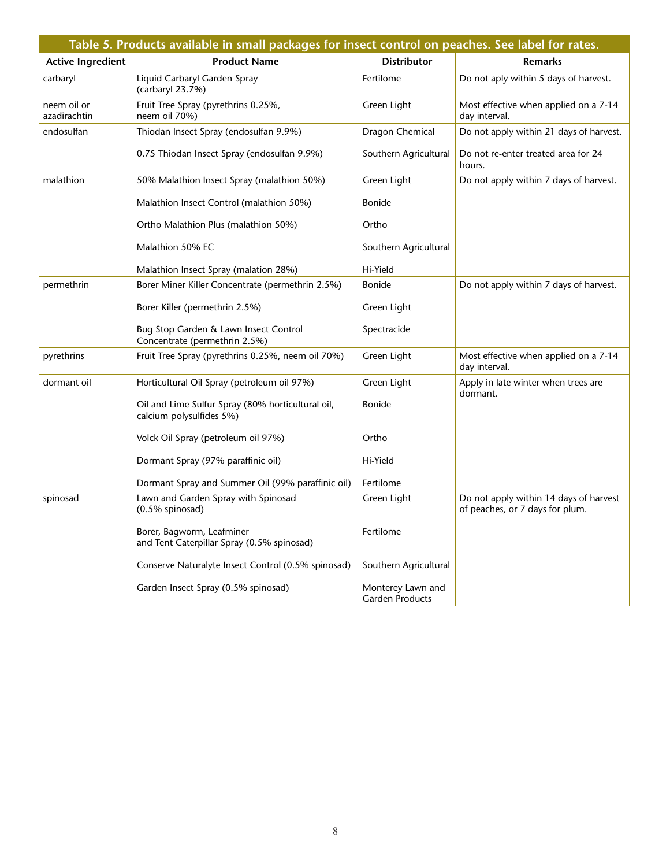|                             | Table 5. Products available in small packages for insect control on peaches. See label for rates. |                                             |                                                                           |  |  |
|-----------------------------|---------------------------------------------------------------------------------------------------|---------------------------------------------|---------------------------------------------------------------------------|--|--|
| <b>Active Ingredient</b>    | <b>Product Name</b>                                                                               | <b>Distributor</b>                          | <b>Remarks</b>                                                            |  |  |
| carbaryl                    | Liquid Carbaryl Garden Spray<br>(carbaryl 23.7%)                                                  | Fertilome                                   | Do not aply within 5 days of harvest.                                     |  |  |
| neem oil or<br>azadirachtin | Fruit Tree Spray (pyrethrins 0.25%,<br>neem oil 70%)                                              | Green Light                                 | Most effective when applied on a 7-14<br>day interval.                    |  |  |
| endosulfan                  | Thiodan Insect Spray (endosulfan 9.9%)                                                            | Dragon Chemical                             | Do not apply within 21 days of harvest.                                   |  |  |
|                             | 0.75 Thiodan Insect Spray (endosulfan 9.9%)                                                       | Southern Agricultural                       | Do not re-enter treated area for 24<br>hours.                             |  |  |
| malathion                   | 50% Malathion Insect Spray (malathion 50%)                                                        | Green Light                                 | Do not apply within 7 days of harvest.                                    |  |  |
|                             | Malathion Insect Control (malathion 50%)                                                          | <b>Bonide</b>                               |                                                                           |  |  |
|                             | Ortho Malathion Plus (malathion 50%)                                                              | Ortho                                       |                                                                           |  |  |
|                             | Malathion 50% EC                                                                                  | Southern Agricultural                       |                                                                           |  |  |
|                             | Malathion Insect Spray (malation 28%)                                                             | Hi-Yield                                    |                                                                           |  |  |
| permethrin                  | Borer Miner Killer Concentrate (permethrin 2.5%)                                                  | <b>Bonide</b>                               | Do not apply within 7 days of harvest.                                    |  |  |
|                             | Borer Killer (permethrin 2.5%)                                                                    | Green Light                                 |                                                                           |  |  |
|                             | Bug Stop Garden & Lawn Insect Control<br>Concentrate (permethrin 2.5%)                            | Spectracide                                 |                                                                           |  |  |
| pyrethrins                  | Fruit Tree Spray (pyrethrins 0.25%, neem oil 70%)                                                 | Green Light                                 | Most effective when applied on a 7-14<br>day interval.                    |  |  |
| dormant oil                 | Horticultural Oil Spray (petroleum oil 97%)                                                       | Green Light                                 | Apply in late winter when trees are<br>dormant.                           |  |  |
|                             | Oil and Lime Sulfur Spray (80% horticultural oil,<br>calcium polysulfides 5%)                     | <b>Bonide</b>                               |                                                                           |  |  |
|                             | Volck Oil Spray (petroleum oil 97%)                                                               | Ortho                                       |                                                                           |  |  |
|                             | Dormant Spray (97% paraffinic oil)                                                                | Hi-Yield                                    |                                                                           |  |  |
|                             | Dormant Spray and Summer Oil (99% paraffinic oil)                                                 | Fertilome                                   |                                                                           |  |  |
| spinosad                    | Lawn and Garden Spray with Spinosad<br>$(0.5%$ spinosad)                                          | Green Light                                 | Do not apply within 14 days of harvest<br>of peaches, or 7 days for plum. |  |  |
|                             | Borer, Bagworm, Leafminer<br>and Tent Caterpillar Spray (0.5% spinosad)                           | Fertilome                                   |                                                                           |  |  |
|                             | Conserve Naturalyte Insect Control (0.5% spinosad)                                                | Southern Agricultural                       |                                                                           |  |  |
|                             | Garden Insect Spray (0.5% spinosad)                                                               | Monterey Lawn and<br><b>Garden Products</b> |                                                                           |  |  |